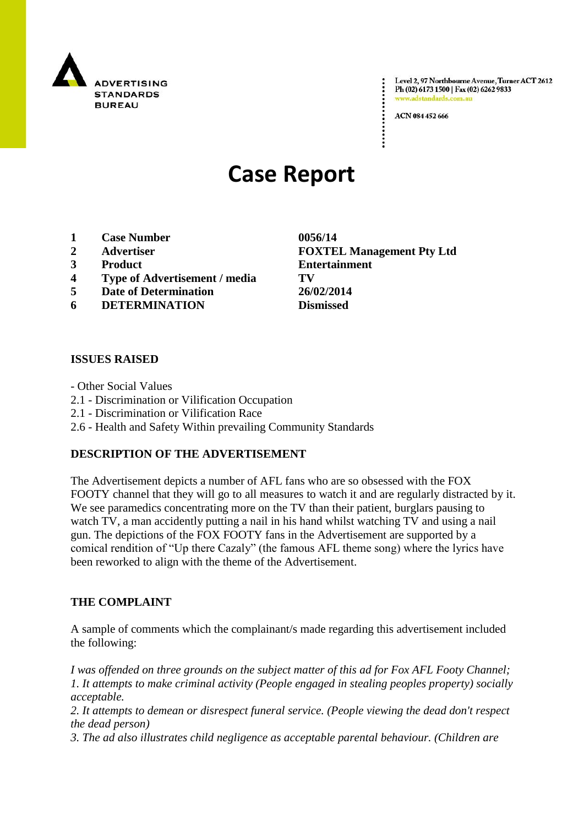

Level 2, 97 Northbourne Avenue, Turner ACT 2612 Ph (02) 6173 1500 | Fax (02) 6262 9833 adstandards.c

ACN 084 452 666

# **Case Report**

- **1 Case Number 0056/14**
- 
- 
- **4 Type of Advertisement / media TV**
- **5 Date of Determination 26/02/2014**
- **6 DETERMINATION Dismissed**

#### **ISSUES RAISED**

- Other Social Values
- 2.1 Discrimination or Vilification Occupation
- 2.1 Discrimination or Vilification Race
- 2.6 Health and Safety Within prevailing Community Standards

#### **DESCRIPTION OF THE ADVERTISEMENT**

The Advertisement depicts a number of AFL fans who are so obsessed with the FOX FOOTY channel that they will go to all measures to watch it and are regularly distracted by it. We see paramedics concentrating more on the TV than their patient, burglars pausing to watch TV, a man accidently putting a nail in his hand whilst watching TV and using a nail gun. The depictions of the FOX FOOTY fans in the Advertisement are supported by a comical rendition of "Up there Cazaly" (the famous AFL theme song) where the lyrics have been reworked to align with the theme of the Advertisement.

#### **THE COMPLAINT**

A sample of comments which the complainant/s made regarding this advertisement included the following:

*I was offended on three grounds on the subject matter of this ad for Fox AFL Footy Channel; 1. It attempts to make criminal activity (People engaged in stealing peoples property) socially acceptable.*

*2. It attempts to demean or disrespect funeral service. (People viewing the dead don't respect the dead person)*

*3. The ad also illustrates child negligence as acceptable parental behaviour. (Children are* 

**2 Advertiser FOXTEL Management Pty Ltd 3 Product Entertainment**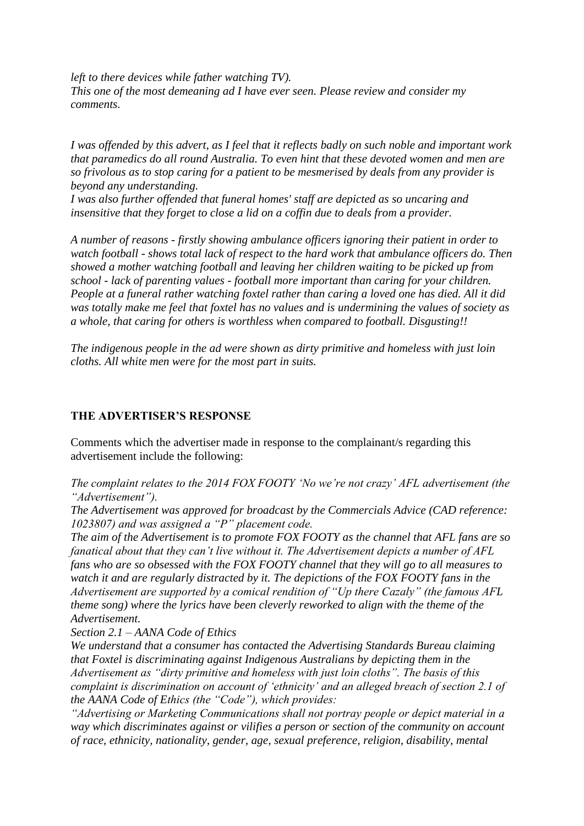*left to there devices while father watching TV). This one of the most demeaning ad I have ever seen. Please review and consider my comments.*

*I was offended by this advert, as I feel that it reflects badly on such noble and important work that paramedics do all round Australia. To even hint that these devoted women and men are so frivolous as to stop caring for a patient to be mesmerised by deals from any provider is beyond any understanding.*

*I was also further offended that funeral homes' staff are depicted as so uncaring and insensitive that they forget to close a lid on a coffin due to deals from a provider.*

*A number of reasons - firstly showing ambulance officers ignoring their patient in order to watch football - shows total lack of respect to the hard work that ambulance officers do. Then showed a mother watching football and leaving her children waiting to be picked up from school - lack of parenting values - football more important than caring for your children. People at a funeral rather watching foxtel rather than caring a loved one has died. All it did was totally make me feel that foxtel has no values and is undermining the values of society as a whole, that caring for others is worthless when compared to football. Disgusting!!*

*The indigenous people in the ad were shown as dirty primitive and homeless with just loin cloths. All white men were for the most part in suits.*

### **THE ADVERTISER'S RESPONSE**

Comments which the advertiser made in response to the complainant/s regarding this advertisement include the following:

*The complaint relates to the 2014 FOX FOOTY "No we"re not crazy" AFL advertisement (the "Advertisement").*

*The Advertisement was approved for broadcast by the Commercials Advice (CAD reference: 1023807) and was assigned a "P" placement code.*

*The aim of the Advertisement is to promote FOX FOOTY as the channel that AFL fans are so fanatical about that they can"t live without it. The Advertisement depicts a number of AFL fans who are so obsessed with the FOX FOOTY channel that they will go to all measures to watch it and are regularly distracted by it. The depictions of the FOX FOOTY fans in the Advertisement are supported by a comical rendition of "Up there Cazaly" (the famous AFL theme song) where the lyrics have been cleverly reworked to align with the theme of the Advertisement.*

*Section 2.1 – AANA Code of Ethics*

*We understand that a consumer has contacted the Advertising Standards Bureau claiming that Foxtel is discriminating against Indigenous Australians by depicting them in the Advertisement as "dirty primitive and homeless with just loin cloths". The basis of this complaint is discrimination on account of "ethnicity" and an alleged breach of section 2.1 of the AANA Code of Ethics (the "Code"), which provides:*

*"Advertising or Marketing Communications shall not portray people or depict material in a way which discriminates against or vilifies a person or section of the community on account of race, ethnicity, nationality, gender, age, sexual preference, religion, disability, mental*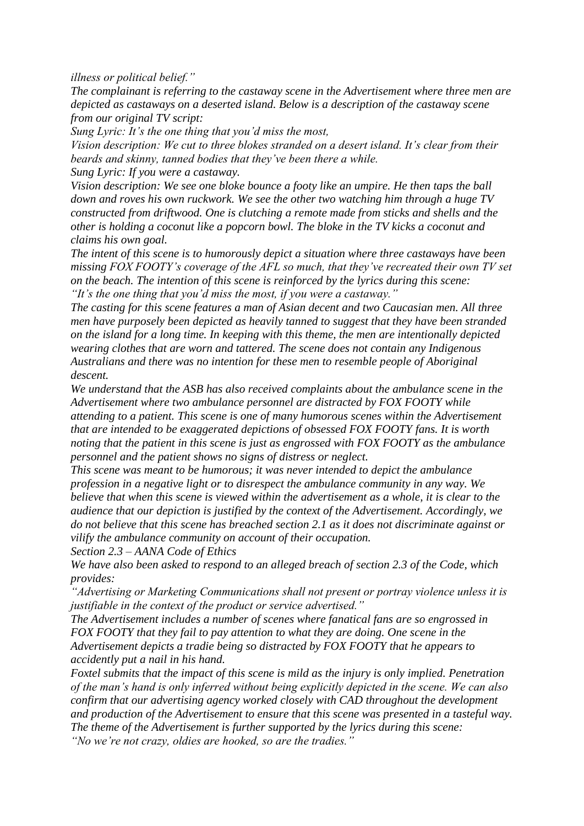*illness or political belief."*

*The complainant is referring to the castaway scene in the Advertisement where three men are depicted as castaways on a deserted island. Below is a description of the castaway scene from our original TV script:*

*Sung Lyric: It"s the one thing that you"d miss the most,*

*Vision description: We cut to three blokes stranded on a desert island. It's clear from their beards and skinny, tanned bodies that they"ve been there a while.*

*Sung Lyric: If you were a castaway.*

*Vision description: We see one bloke bounce a footy like an umpire. He then taps the ball down and roves his own ruckwork. We see the other two watching him through a huge TV constructed from driftwood. One is clutching a remote made from sticks and shells and the other is holding a coconut like a popcorn bowl. The bloke in the TV kicks a coconut and claims his own goal.*

*The intent of this scene is to humorously depict a situation where three castaways have been missing FOX FOOTY"s coverage of the AFL so much, that they"ve recreated their own TV set on the beach. The intention of this scene is reinforced by the lyrics during this scene: "It"s the one thing that you"d miss the most, if you were a castaway."*

*The casting for this scene features a man of Asian decent and two Caucasian men. All three men have purposely been depicted as heavily tanned to suggest that they have been stranded on the island for a long time. In keeping with this theme, the men are intentionally depicted wearing clothes that are worn and tattered. The scene does not contain any Indigenous Australians and there was no intention for these men to resemble people of Aboriginal descent.*

*We understand that the ASB has also received complaints about the ambulance scene in the Advertisement where two ambulance personnel are distracted by FOX FOOTY while attending to a patient. This scene is one of many humorous scenes within the Advertisement that are intended to be exaggerated depictions of obsessed FOX FOOTY fans. It is worth noting that the patient in this scene is just as engrossed with FOX FOOTY as the ambulance personnel and the patient shows no signs of distress or neglect.*

*This scene was meant to be humorous; it was never intended to depict the ambulance profession in a negative light or to disrespect the ambulance community in any way. We believe that when this scene is viewed within the advertisement as a whole, it is clear to the audience that our depiction is justified by the context of the Advertisement. Accordingly, we do not believe that this scene has breached section 2.1 as it does not discriminate against or vilify the ambulance community on account of their occupation.*

*Section 2.3 – AANA Code of Ethics*

*We have also been asked to respond to an alleged breach of section 2.3 of the Code, which provides:*

*"Advertising or Marketing Communications shall not present or portray violence unless it is justifiable in the context of the product or service advertised."*

*The Advertisement includes a number of scenes where fanatical fans are so engrossed in FOX FOOTY that they fail to pay attention to what they are doing. One scene in the Advertisement depicts a tradie being so distracted by FOX FOOTY that he appears to accidently put a nail in his hand.*

*Foxtel submits that the impact of this scene is mild as the injury is only implied. Penetration of the man"s hand is only inferred without being explicitly depicted in the scene. We can also confirm that our advertising agency worked closely with CAD throughout the development and production of the Advertisement to ensure that this scene was presented in a tasteful way. The theme of the Advertisement is further supported by the lyrics during this scene: "No we"re not crazy, oldies are hooked, so are the tradies."*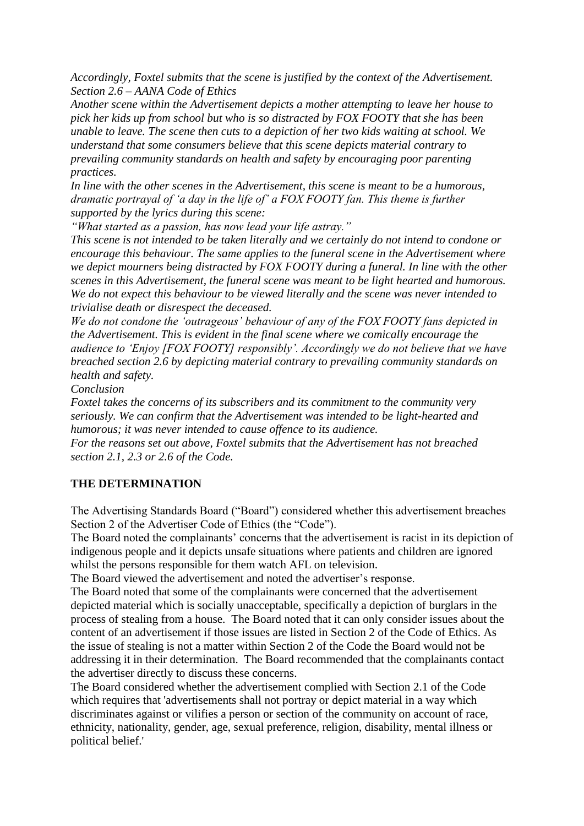*Accordingly, Foxtel submits that the scene is justified by the context of the Advertisement. Section 2.6 – AANA Code of Ethics*

*Another scene within the Advertisement depicts a mother attempting to leave her house to pick her kids up from school but who is so distracted by FOX FOOTY that she has been unable to leave. The scene then cuts to a depiction of her two kids waiting at school. We understand that some consumers believe that this scene depicts material contrary to prevailing community standards on health and safety by encouraging poor parenting practices.*

*In line with the other scenes in the Advertisement, this scene is meant to be a humorous, dramatic portrayal of "a day in the life of" a FOX FOOTY fan. This theme is further supported by the lyrics during this scene:*

*"What started as a passion, has now lead your life astray."*

*This scene is not intended to be taken literally and we certainly do not intend to condone or encourage this behaviour. The same applies to the funeral scene in the Advertisement where we depict mourners being distracted by FOX FOOTY during a funeral. In line with the other scenes in this Advertisement, the funeral scene was meant to be light hearted and humorous. We do not expect this behaviour to be viewed literally and the scene was never intended to trivialise death or disrespect the deceased.*

*We do not condone the "outrageous" behaviour of any of the FOX FOOTY fans depicted in the Advertisement. This is evident in the final scene where we comically encourage the audience to "Enjoy [FOX FOOTY] responsibly". Accordingly we do not believe that we have breached section 2.6 by depicting material contrary to prevailing community standards on health and safety.*

*Conclusion*

*Foxtel takes the concerns of its subscribers and its commitment to the community very seriously. We can confirm that the Advertisement was intended to be light-hearted and humorous; it was never intended to cause offence to its audience.*

*For the reasons set out above, Foxtel submits that the Advertisement has not breached section 2.1, 2.3 or 2.6 of the Code.*

## **THE DETERMINATION**

The Advertising Standards Board ("Board") considered whether this advertisement breaches Section 2 of the Advertiser Code of Ethics (the "Code").

The Board noted the complainants' concerns that the advertisement is racist in its depiction of indigenous people and it depicts unsafe situations where patients and children are ignored whilst the persons responsible for them watch AFL on television.

The Board viewed the advertisement and noted the advertiser"s response.

The Board noted that some of the complainants were concerned that the advertisement depicted material which is socially unacceptable, specifically a depiction of burglars in the process of stealing from a house. The Board noted that it can only consider issues about the content of an advertisement if those issues are listed in Section 2 of the Code of Ethics. As the issue of stealing is not a matter within Section 2 of the Code the Board would not be addressing it in their determination. The Board recommended that the complainants contact the advertiser directly to discuss these concerns.

The Board considered whether the advertisement complied with Section 2.1 of the Code which requires that 'advertisements shall not portray or depict material in a way which discriminates against or vilifies a person or section of the community on account of race, ethnicity, nationality, gender, age, sexual preference, religion, disability, mental illness or political belief.'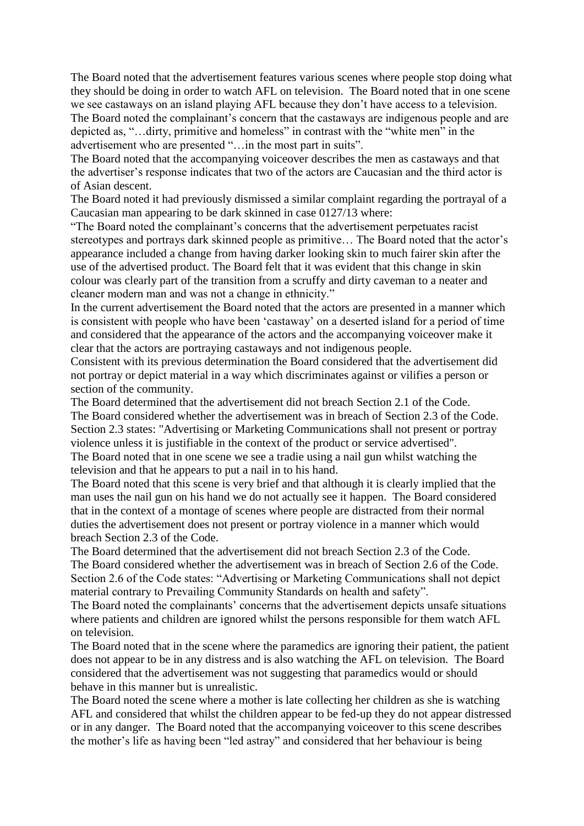The Board noted that the advertisement features various scenes where people stop doing what they should be doing in order to watch AFL on television. The Board noted that in one scene we see castaways on an island playing AFL because they don"t have access to a television. The Board noted the complainant's concern that the castaways are indigenous people and are depicted as, "…dirty, primitive and homeless" in contrast with the "white men" in the advertisement who are presented "…in the most part in suits".

The Board noted that the accompanying voiceover describes the men as castaways and that the advertiser"s response indicates that two of the actors are Caucasian and the third actor is of Asian descent.

The Board noted it had previously dismissed a similar complaint regarding the portrayal of a Caucasian man appearing to be dark skinned in case 0127/13 where:

"The Board noted the complainant"s concerns that the advertisement perpetuates racist stereotypes and portrays dark skinned people as primitive... The Board noted that the actor's appearance included a change from having darker looking skin to much fairer skin after the use of the advertised product. The Board felt that it was evident that this change in skin colour was clearly part of the transition from a scruffy and dirty caveman to a neater and cleaner modern man and was not a change in ethnicity."

In the current advertisement the Board noted that the actors are presented in a manner which is consistent with people who have been "castaway" on a deserted island for a period of time and considered that the appearance of the actors and the accompanying voiceover make it clear that the actors are portraying castaways and not indigenous people.

Consistent with its previous determination the Board considered that the advertisement did not portray or depict material in a way which discriminates against or vilifies a person or section of the community.

The Board determined that the advertisement did not breach Section 2.1 of the Code. The Board considered whether the advertisement was in breach of Section 2.3 of the Code. Section 2.3 states: "Advertising or Marketing Communications shall not present or portray violence unless it is justifiable in the context of the product or service advertised". The Board noted that in one scene we see a tradie using a nail gun whilst watching the television and that he appears to put a nail in to his hand.

The Board noted that this scene is very brief and that although it is clearly implied that the man uses the nail gun on his hand we do not actually see it happen. The Board considered that in the context of a montage of scenes where people are distracted from their normal duties the advertisement does not present or portray violence in a manner which would breach Section 2.3 of the Code.

The Board determined that the advertisement did not breach Section 2.3 of the Code. The Board considered whether the advertisement was in breach of Section 2.6 of the Code. Section 2.6 of the Code states: "Advertising or Marketing Communications shall not depict material contrary to Prevailing Community Standards on health and safety".

The Board noted the complainants' concerns that the advertisement depicts unsafe situations where patients and children are ignored whilst the persons responsible for them watch AFL on television.

The Board noted that in the scene where the paramedics are ignoring their patient, the patient does not appear to be in any distress and is also watching the AFL on television. The Board considered that the advertisement was not suggesting that paramedics would or should behave in this manner but is unrealistic.

The Board noted the scene where a mother is late collecting her children as she is watching AFL and considered that whilst the children appear to be fed-up they do not appear distressed or in any danger. The Board noted that the accompanying voiceover to this scene describes the mother"s life as having been "led astray" and considered that her behaviour is being